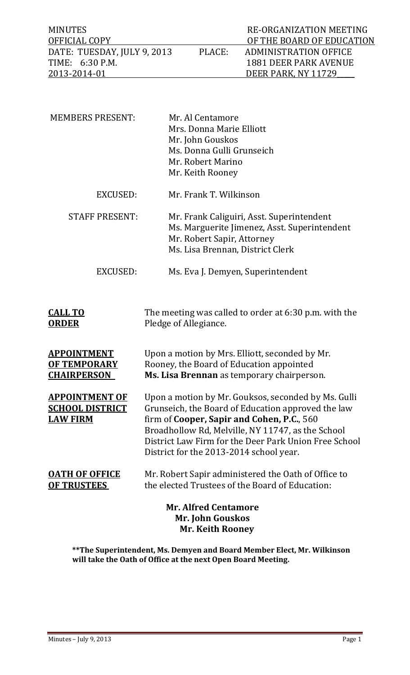| MINUTES                     |        | RE-ORGANIZATION MEETING   |
|-----------------------------|--------|---------------------------|
| OFFICIAL COPY               |        | OF THE BOARD OF EDUCATION |
| DATE: TUESDAY, JULY 9, 2013 | PLACE: | ADMINISTRATION OFFICE     |
| TIME: 6:30 P.M.             |        | 1881 DEER PARK AVENUE     |
| 2013-2014-01                |        | DEER PARK, NY 11729       |

| <b>MEMBERS PRESENT:</b>                                                    | Mr. Al Centamore<br>Mrs. Donna Marie Elliott<br>Mr. John Gouskos<br>Ms. Donna Gulli Grunseich<br>Mr. Robert Marino<br>Mr. Keith Rooney                                                                                                                                                                           |
|----------------------------------------------------------------------------|------------------------------------------------------------------------------------------------------------------------------------------------------------------------------------------------------------------------------------------------------------------------------------------------------------------|
| <b>EXCUSED:</b>                                                            | Mr. Frank T. Wilkinson                                                                                                                                                                                                                                                                                           |
| <b>STAFF PRESENT:</b>                                                      | Mr. Frank Caliguiri, Asst. Superintendent<br>Ms. Marguerite Jimenez, Asst. Superintendent<br>Mr. Robert Sapir, Attorney<br>Ms. Lisa Brennan, District Clerk                                                                                                                                                      |
| <b>EXCUSED:</b>                                                            | Ms. Eva J. Demyen, Superintendent                                                                                                                                                                                                                                                                                |
| <b>CALL TO</b><br><u>ORDER</u>                                             | The meeting was called to order at 6:30 p.m. with the<br>Pledge of Allegiance.                                                                                                                                                                                                                                   |
| <u>APPOINTMENT</u><br><b>OF TEMPORARY</b><br><b>CHAIRPERSON</b>            | Upon a motion by Mrs. Elliott, seconded by Mr.<br>Rooney, the Board of Education appointed<br>Ms. Lisa Brennan as temporary chairperson.                                                                                                                                                                         |
| <b>APPOINTMENT OF</b><br><b>SCHOOL DISTRICT</b><br><b>LAW FIRM</b>         | Upon a motion by Mr. Gouksos, seconded by Ms. Gulli<br>Grunseich, the Board of Education approved the law<br>firm of Cooper, Sapir and Cohen, P.C., 560<br>Broadhollow Rd, Melville, NY 11747, as the School<br>District Law Firm for the Deer Park Union Free School<br>District for the 2013-2014 school year. |
| <b>OATH OF OFFICE</b><br><b>OF TRUSTEES</b>                                | Mr. Robert Sapir administered the Oath of Office to<br>the elected Trustees of the Board of Education:                                                                                                                                                                                                           |
| <b>Mr. Alfred Centamore</b><br>Mr. John Gouskos<br><b>Mr. Keith Rooney</b> |                                                                                                                                                                                                                                                                                                                  |

**\*\*The Superintendent, Ms. Demyen and Board Member Elect, Mr. Wilkinson will take the Oath of Office at the next Open Board Meeting.**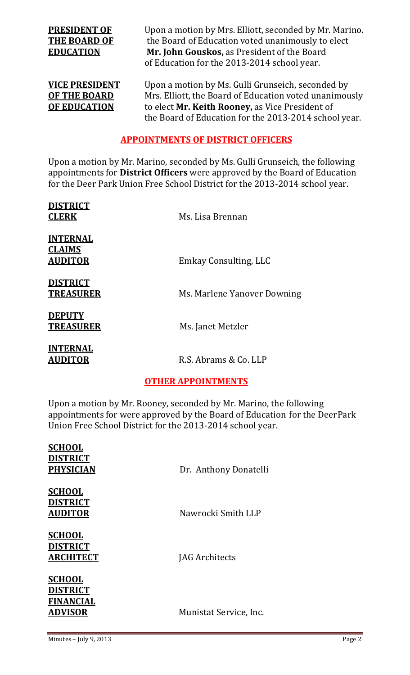**PRESIDENT OF** Upon a motion by Mrs. Elliott, seconded by Mr. Marino. **THE BOARD OF** the Board of Education voted unanimously to elect **EDUCATION Mr. John Gouskos,** as President of the Board of Education for the 2013-2014 school year.

**<u>VICE PRESIDENT</u>** Upon a motion by Ms. Gulli Grunseich, seconded by **OF THE BOARD** Mrs. Elliott, the Board of Education voted unanimously **OF EDUCATION** to elect Mr. Keith Rooney, as Vice President of the Board of Education for the 2013-2014 school year.

# **APPOINTMENTS OF DISTRICT OFFICERS**

Upon a motion by Mr. Marino, seconded by Ms. Gulli Grunseich, the following appointments for **District Officers** were approved by the Board of Education for the Deer Park Union Free School District for the 2013-2014 school year.

| <b>DISTRICT</b><br><b>CLERK</b>                    | Ms. Lisa Brennan            |
|----------------------------------------------------|-----------------------------|
| <b>INTERNAL</b><br><b>CLAIMS</b><br><b>AUDITOR</b> | Emkay Consulting, LLC       |
| <b>DISTRICT</b><br><b>TREASURER</b>                | Ms. Marlene Yanover Downing |
| <b>DEPUTY</b><br><b>TREASURER</b>                  | Ms. Janet Metzler           |
| <b>INTERNAL</b><br><b>AUDITOR</b>                  | R.S. Abrams & Co. LLP       |

# **OTHER APPOINTMENTS**

Upon a motion by Mr. Rooney, seconded by Mr. Marino, the following appointments for were approved by the Board of Education for the DeerPark Union Free School District for the 2013-2014 school year.

| <b>SCHOOL</b><br><b>DISTRICT</b><br><b>PHYSICIAN</b>                   | Dr. Anthony Donatelli  |
|------------------------------------------------------------------------|------------------------|
| <b>SCHOOL</b><br><b>DISTRICT</b><br><u>AUDITOR</u>                     | Nawrocki Smith LLP     |
| <b>SCHOOL</b><br><b>DISTRICT</b><br><b>ARCHITECT</b>                   | <b>JAG</b> Architects  |
| <u>SCHOOL</u><br><b>DISTRICT</b><br><b>FINANCIAL</b><br><b>ADVISOR</b> | Munistat Service, Inc. |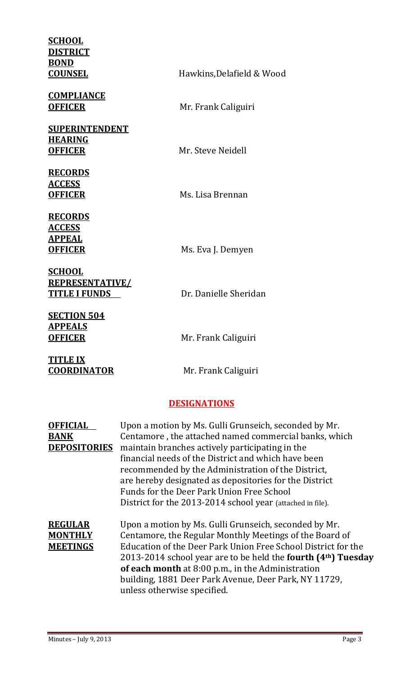| <b>SCHOOL</b><br><b>DISTRICT</b><br><b>BOND</b><br><b>COUNSEL</b>  | Hawkins, Delafield & Wood                                                                                                                                                                                                                                                                                                                                                                                                                           |  |
|--------------------------------------------------------------------|-----------------------------------------------------------------------------------------------------------------------------------------------------------------------------------------------------------------------------------------------------------------------------------------------------------------------------------------------------------------------------------------------------------------------------------------------------|--|
| <b>COMPLIANCE</b><br><b>OFFICER</b>                                | Mr. Frank Caliguiri                                                                                                                                                                                                                                                                                                                                                                                                                                 |  |
| <b>SUPERINTENDENT</b><br><b>HEARING</b><br><b>OFFICER</b>          | Mr. Steve Neidell                                                                                                                                                                                                                                                                                                                                                                                                                                   |  |
| <b>RECORDS</b><br><b>ACCESS</b><br><b>OFFICER</b>                  | Ms. Lisa Brennan                                                                                                                                                                                                                                                                                                                                                                                                                                    |  |
| <b>RECORDS</b><br><b>ACCESS</b><br><b>APPEAL</b><br><b>OFFICER</b> | Ms. Eva J. Demyen                                                                                                                                                                                                                                                                                                                                                                                                                                   |  |
| <b>SCHOOL</b><br><b>REPRESENTATIVE/</b><br><b>TITLE I FUNDS</b>    | Dr. Danielle Sheridan                                                                                                                                                                                                                                                                                                                                                                                                                               |  |
| <b>SECTION 504</b><br><b>APPEALS</b><br><b>OFFICER</b>             | Mr. Frank Caliguiri                                                                                                                                                                                                                                                                                                                                                                                                                                 |  |
| <b>TITLE IX</b><br><b>COORDINATOR</b>                              | Mr. Frank Caliguiri                                                                                                                                                                                                                                                                                                                                                                                                                                 |  |
|                                                                    | <b>DESIGNATIONS</b>                                                                                                                                                                                                                                                                                                                                                                                                                                 |  |
| <b>OFFICIAL</b><br><b>BANK</b><br><b>DEPOSITORIES</b>              | Upon a motion by Ms. Gulli Grunseich, seconded by Mr.<br>Centamore, the attached named commercial banks, which<br>maintain branches actively participating in the<br>financial needs of the District and which have been<br>recommended by the Administration of the District,<br>are hereby designated as depositories for the District<br>Funds for the Deer Park Union Free School<br>District for the 2013-2014 school year (attached in file). |  |
| <b>REGULAR</b><br><b>MONTHLY</b><br><b>MEETINGS</b>                | Upon a motion by Ms. Gulli Grunseich, seconded by Mr.<br>Centamore, the Regular Monthly Meetings of the Board of<br>Education of the Deer Park Union Free School District for the<br>2013-2014 school year are to be held the fourth (4 <sup>th</sup> ) Tuesday<br>of each month at 8:00 p.m., in the Administration<br>building, 1881 Deer Park Avenue, Deer Park, NY 11729,<br>unless otherwise specified.                                        |  |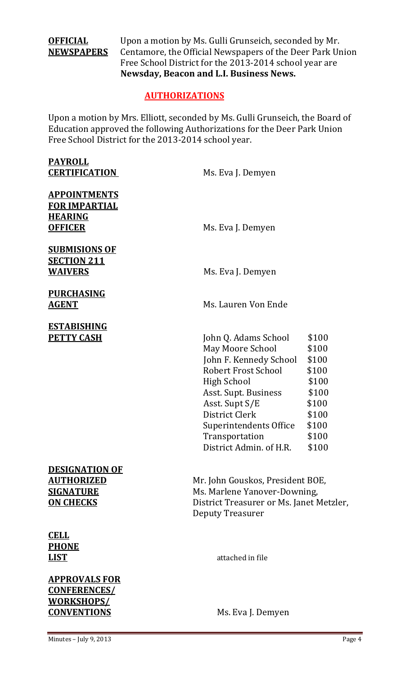**OFFICIAL** Upon a motion by Ms. Gulli Grunseich, seconded by Mr. **NEWSPAPERS** Centamore, the Official Newspapers of the Deer Park Union Free School District for the 2013-2014 school year are **Newsday, Beacon and L.I. Business News.**

## **AUTHORIZATIONS**

Upon a motion by Mrs. Elliott, seconded by Ms. Gulli Grunseich, the Board of Education approved the following Authorizations for the Deer Park Union Free School District for the 2013-2014 school year.

| Ms. Eva J. Demyen                                                                                                                                                                                                                                         |                                                                                                 |
|-----------------------------------------------------------------------------------------------------------------------------------------------------------------------------------------------------------------------------------------------------------|-------------------------------------------------------------------------------------------------|
| Ms. Eva J. Demyen                                                                                                                                                                                                                                         |                                                                                                 |
| Ms. Eva J. Demyen                                                                                                                                                                                                                                         |                                                                                                 |
| Ms. Lauren Von Ende                                                                                                                                                                                                                                       |                                                                                                 |
| John Q. Adams School<br>May Moore School<br>John F. Kennedy School<br><b>Robert Frost School</b><br><b>High School</b><br>Asst. Supt. Business<br>Asst. Supt S/E<br>District Clerk<br>Superintendents Office<br>Transportation<br>District Admin. of H.R. | \$100<br>\$100<br>\$100<br>\$100<br>\$100<br>\$100<br>\$100<br>\$100<br>\$100<br>\$100<br>\$100 |
| Mr. John Gouskos, President BOE,<br>Ms. Marlene Yanover-Downing,<br>District Treasurer or Ms. Janet Metzler,<br><b>Deputy Treasurer</b>                                                                                                                   |                                                                                                 |
| attached in file                                                                                                                                                                                                                                          |                                                                                                 |
|                                                                                                                                                                                                                                                           |                                                                                                 |

**CONVENTIONS** Ms. Eva J. Demyen

**CONFERENCES/ WORKSHOPS/**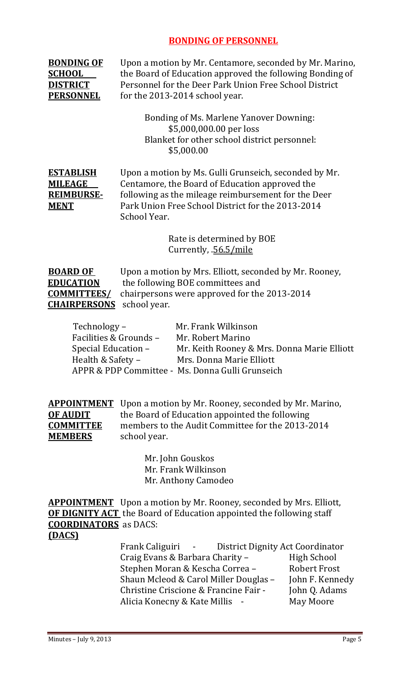# **BONDING OF PERSONNEL**

| <b>BONDING OF</b><br><b>SCHOOL</b><br><b>DISTRICT</b><br><b>PERSONNEL</b>        | Upon a motion by Mr. Centamore, seconded by Mr. Marino,<br>the Board of Education approved the following Bonding of<br>Personnel for the Deer Park Union Free School District<br>for the 2013-2014 school year.                                                                                                                                         |
|----------------------------------------------------------------------------------|---------------------------------------------------------------------------------------------------------------------------------------------------------------------------------------------------------------------------------------------------------------------------------------------------------------------------------------------------------|
|                                                                                  | <b>Bonding of Ms. Marlene Yanover Downing:</b><br>\$5,000,000.00 per loss<br>Blanket for other school district personnel:<br>\$5,000.00                                                                                                                                                                                                                 |
| <b>ESTABLISH</b><br><b>MILEAGE</b><br><b>REIMBURSE-</b><br><b>MENT</b>           | Upon a motion by Ms. Gulli Grunseich, seconded by Mr.<br>Centamore, the Board of Education approved the<br>following as the mileage reimbursement for the Deer<br>Park Union Free School District for the 2013-2014<br>School Year.                                                                                                                     |
|                                                                                  | Rate is determined by BOE<br>Currently, .56.5/mile                                                                                                                                                                                                                                                                                                      |
| <b>BOARD OF</b><br><b>EDUCATION</b><br><b>COMMITTEES/</b><br><b>CHAIRPERSONS</b> | Upon a motion by Mrs. Elliott, seconded by Mr. Rooney,<br>the following BOE committees and<br>chairpersons were approved for the 2013-2014<br>school year.                                                                                                                                                                                              |
| Technology -<br>Special Education -<br>Health & Safety -                         | Mr. Frank Wilkinson<br>Facilities & Grounds -<br>Mr. Robert Marino<br>Mr. Keith Rooney & Mrs. Donna Marie Elliott<br>Mrs. Donna Marie Elliott<br>APPR & PDP Committee - Ms. Donna Gulli Grunseich                                                                                                                                                       |
| <b>APPOINTMENT</b><br><b>OF AUDIT</b><br><b>COMMITTEE</b><br><b>MEMBERS</b>      | Upon a motion by Mr. Rooney, seconded by Mr. Marino,<br>the Board of Education appointed the following<br>members to the Audit Committee for the 2013-2014<br>school year.                                                                                                                                                                              |
|                                                                                  | Mr. John Gouskos<br>Mr. Frank Wilkinson<br>Mr. Anthony Camodeo                                                                                                                                                                                                                                                                                          |
| <b>COORDINATORS</b> as DACS:<br>(DACS)                                           | <b>APPOINTMENT</b> Upon a motion by Mr. Rooney, seconded by Mrs. Elliott,<br><b>OF DIGNITY ACT</b> the Board of Education appointed the following staff                                                                                                                                                                                                 |
|                                                                                  | Frank Caliguiri<br>District Dignity Act Coordinator<br>$\sim$ $-$<br><b>High School</b><br>Craig Evans & Barbara Charity -<br><b>Robert Frost</b><br>Stephen Moran & Kescha Correa -<br>Shaun Mcleod & Carol Miller Douglas -<br>John F. Kennedy<br>Christine Criscione & Francine Fair -<br>John Q. Adams<br>May Moore<br>Alicia Konecny & Kate Millis |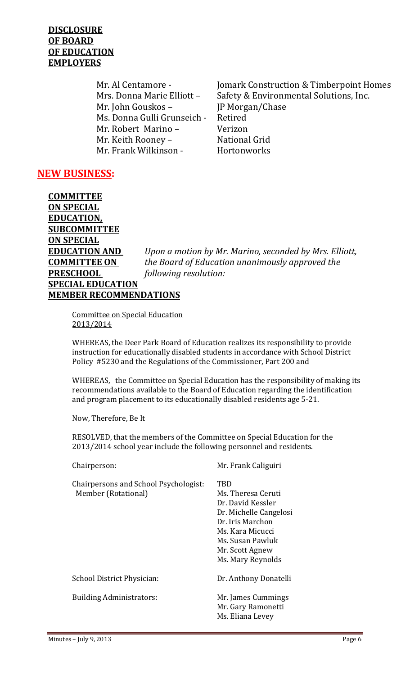## DISCLOSURE **OF BOARD OF EDUCATION EMPLOYERS**

 $Mr. John Gouskos –$   $JP Morgan/Chase$ Ms. Donna Gulli Grunseich - Retired Mr. Robert Marino – Verizon Mr. Keith Rooney – **National Grid** Mr. Frank Wilkinson - **Hortonworks** 

Mr. Al Centamore - *Iomark Construction & Timberpoint Homes* Mrs. Donna Marie Elliott - Safety & Environmental Solutions, Inc.

# **NEW BUSINESS:**

**COMMITTEE ON SPECIAL EDUCATION, SUBCOMMITTEE ON SPECIAL EDUCATION AND** *Upon a motion by Mr. Marino, seconded by Mrs. Elliott,* **COMMITTEE ON**  *the Board of Education unanimously approved the*  **PRESCHOOL**  *following resolution:* **SPECIAL EDUCATION MEMBER RECOMMENDATIONS**

Committee on Special Education 2013/2014 

WHEREAS, the Deer Park Board of Education realizes its responsibility to provide instruction for educationally disabled students in accordance with School District Policy #5230 and the Regulations of the Commissioner, Part 200 and

WHEREAS, the Committee on Special Education has the responsibility of making its recommendations available to the Board of Education regarding the identification and program placement to its educationally disabled residents age 5-21.

Now, Therefore, Be It

RESOLVED, that the members of the Committee on Special Education for the 2013/2014 school year include the following personnel and residents.

| Chairperson:                                                 | Mr. Frank Caliguiri                                                                                                                                                          |
|--------------------------------------------------------------|------------------------------------------------------------------------------------------------------------------------------------------------------------------------------|
| Chairpersons and School Psychologist:<br>Member (Rotational) | TBD<br>Ms. Theresa Ceruti<br>Dr. David Kessler<br>Dr. Michelle Cangelosi<br>Dr. Iris Marchon<br>Ms. Kara Micucci<br>Ms. Susan Pawluk<br>Mr. Scott Agnew<br>Ms. Mary Reynolds |
| School District Physician:                                   | Dr. Anthony Donatelli                                                                                                                                                        |
| <b>Building Administrators:</b>                              | Mr. James Cummings<br>Mr. Gary Ramonetti<br>Ms. Eliana Levey                                                                                                                 |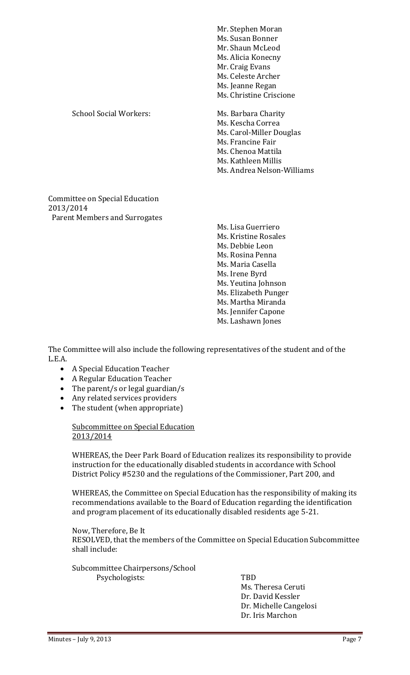|                                                                                     | Mr. Stephen Moran<br>Ms. Susan Bonner<br>Mr. Shaun McLeod<br>Ms. Alicia Konecny<br>Mr. Craig Evans<br>Ms. Celeste Archer<br>Ms. Jeanne Regan<br>Ms. Christine Criscione |
|-------------------------------------------------------------------------------------|-------------------------------------------------------------------------------------------------------------------------------------------------------------------------|
| <b>School Social Workers:</b>                                                       | Ms. Barbara Charity<br>Ms. Kescha Correa<br>Ms. Carol-Miller Douglas<br>Ms. Francine Fair<br>Ms. Chenoa Mattila<br>Ms. Kathleen Millis<br>Ms. Andrea Nelson-Williams    |
| Committee on Special Education<br>2013/2014<br><b>Parent Members and Surrogates</b> |                                                                                                                                                                         |

Ms. Lisa Guerriero Ms. Kristine Rosales Ms. Debbie Leon Ms. Rosina Penna Ms. Maria Casella Ms. Irene Byrd Ms. Yeutina Johnson Ms. Elizabeth Punger Ms. Martha Miranda Ms. Jennifer Capone Ms. Lashawn Jones

The Committee will also include the following representatives of the student and of the L.E.A. 

- A Special Education Teacher
- A Regular Education Teacher
- The parent/s or legal guardian/s
- Any related services providers
- The student (when appropriate)

### Subcommittee on Special Education 2013/2014

WHEREAS, the Deer Park Board of Education realizes its responsibility to provide instruction for the educationally disabled students in accordance with School District Policy #5230 and the regulations of the Commissioner, Part 200, and

WHEREAS, the Committee on Special Education has the responsibility of making its recommendations available to the Board of Education regarding the identification and program placement of its educationally disabled residents age 5-21.

Now, Therefore, Be It RESOLVED, that the members of the Committee on Special Education Subcommittee shall include:

Subcommittee Chairpersons/School Psychologists: TBD

Ms. Theresa Ceruti Dr. David Kessler Dr. Michelle Cangelosi Dr. Iris Marchon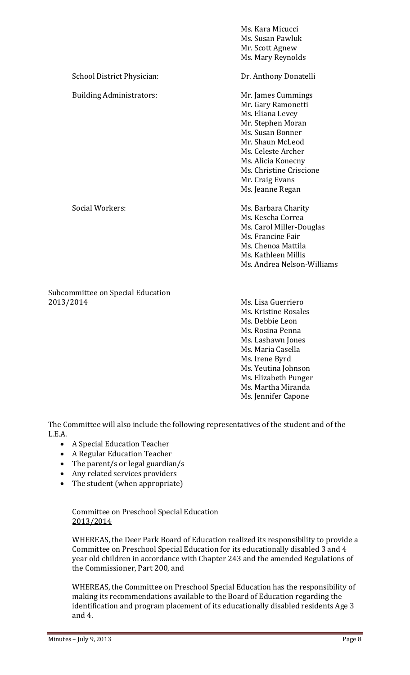|                                 | Ms. Kara Micucci<br>Ms. Susan Pawluk |
|---------------------------------|--------------------------------------|
|                                 | Mr. Scott Agnew                      |
|                                 | Ms. Mary Reynolds                    |
| School District Physician:      | Dr. Anthony Donatelli                |
| <b>Building Administrators:</b> | Mr. James Cummings                   |
|                                 | Mr. Gary Ramonetti                   |
|                                 | Ms. Eliana Levey                     |
|                                 | Mr. Stephen Moran                    |
|                                 | Ms. Susan Bonner                     |
|                                 | Mr. Shaun McLeod                     |
|                                 | Ms. Celeste Archer                   |
|                                 | Ms. Alicia Konecny                   |
|                                 | Ms. Christine Criscione              |
|                                 | Mr. Craig Evans                      |
|                                 | Ms. Jeanne Regan                     |
| <b>Social Workers:</b>          | Ms. Barbara Charity                  |
|                                 | Ms. Kescha Correa                    |
|                                 | Ms. Carol Miller-Douglas             |
|                                 | Ms. Francine Fair                    |
|                                 | Ms. Chenoa Mattila                   |
|                                 | Ms. Kathleen Millis                  |
|                                 | Ms. Andrea Nelson-Williams           |
|                                 |                                      |

Subcommittee on Special Education 2013/2014 Ms. Lisa Guerriero

Ms. Kristine Rosales Ms. Debbie Leon Ms. Rosina Penna Ms. Lashawn Jones Ms. Maria Casella Ms. Irene Byrd Ms. Yeutina Johnson Ms. Elizabeth Punger Ms. Martha Miranda Ms. Jennifer Capone

The Committee will also include the following representatives of the student and of the L.E.A. 

- A Special Education Teacher
- A Regular Education Teacher
- The parent/s or legal guardian/s
- Any related services providers
- The student (when appropriate)

Committee on Preschool Special Education 2013/2014 

WHEREAS, the Deer Park Board of Education realized its responsibility to provide a Committee on Preschool Special Education for its educationally disabled 3 and 4 year old children in accordance with Chapter 243 and the amended Regulations of the Commissioner, Part 200, and

WHEREAS, the Committee on Preschool Special Education has the responsibility of making its recommendations available to the Board of Education regarding the identification and program placement of its educationally disabled residents Age 3 and 4.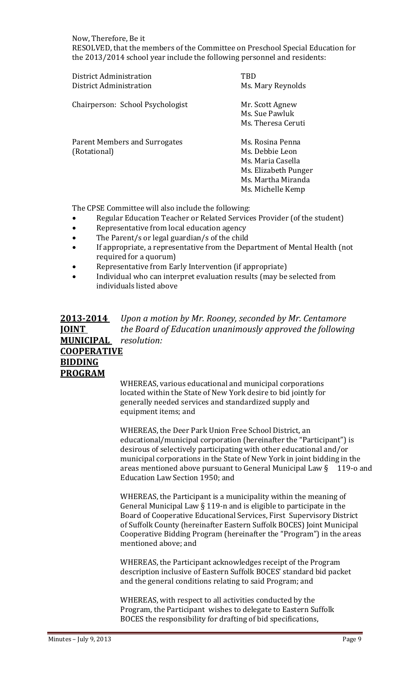Now. Therefore, Be it RESOLVED, that the members of the Committee on Preschool Special Education for the 2013/2014 school year include the following personnel and residents:

| District Administration<br>District Administration | TRD<br>Ms. Mary Reynolds                                                                                                    |
|----------------------------------------------------|-----------------------------------------------------------------------------------------------------------------------------|
| Chairperson: School Psychologist                   | Mr. Scott Agnew<br>Ms. Sue Pawluk<br>Ms. Theresa Ceruti                                                                     |
| Parent Members and Surrogates<br>(Rotational)      | Ms. Rosina Penna<br>Ms. Debbie Leon<br>Ms. Maria Casella<br>Ms. Elizabeth Punger<br>Ms. Martha Miranda<br>Ms. Michelle Kemp |

The CPSE Committee will also include the following:

- Regular Education Teacher or Related Services Provider (of the student)
- Representative from local education agency
- The Parent/s or legal guardian/s of the child
- If appropriate, a representative from the Department of Mental Health (not required for a quorum)
- Representative from Early Intervention (if appropriate)
- Individual who can interpret evaluation results (may be selected from individuals listed above
- **2013‐2014** *Upon a motion by Mr. Rooney, seconded by Mr. Centamore*  **JOINT**  *the Board of Education unanimously approved the following* **MUNICIPAL** *resolution:* **COOPERATIVE BIDDING PROGRAM**

WHEREAS, various educational and municipal corporations located within the State of New York desire to bid jointly for generally needed services and standardized supply and equipment items; and

WHEREAS, the Deer Park Union Free School District, an educational/municipal corporation (hereinafter the "Participant") is desirous of selectively participating with other educational and/or municipal corporations in the State of New York in joint bidding in the areas mentioned above pursuant to General Municipal Law  $\S$  119-o and Education Law Section 1950; and

WHEREAS, the Participant is a municipality within the meaning of General Municipal Law  $\S$  119-n and is eligible to participate in the Board of Cooperative Educational Services, First Supervisory District of Suffolk County (hereinafter Eastern Suffolk BOCES) Joint Municipal Cooperative Bidding Program (hereinafter the "Program") in the areas mentioned above; and

WHEREAS, the Participant acknowledges receipt of the Program description inclusive of Eastern Suffolk BOCES' standard bid packet and the general conditions relating to said Program; and

WHEREAS, with respect to all activities conducted by the Program, the Participant wishes to delegate to Eastern Suffolk BOCES the responsibility for drafting of bid specifications,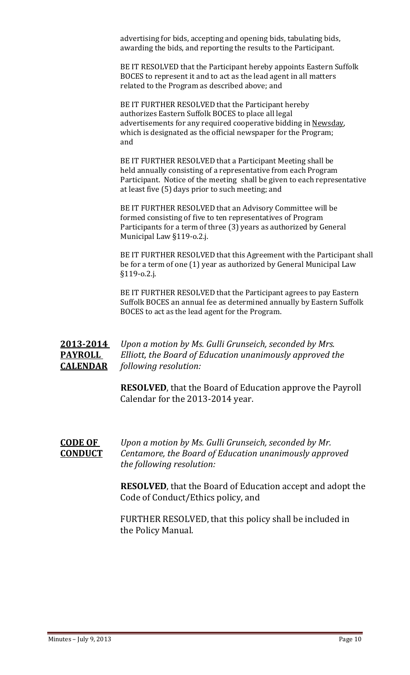advertising for bids, accepting and opening bids, tabulating bids, awarding the bids, and reporting the results to the Participant.

BE IT RESOLVED that the Participant hereby appoints Eastern Suffolk BOCES to represent it and to act as the lead agent in all matters related to the Program as described above; and

BE IT FURTHER RESOLVED that the Participant hereby authorizes Eastern Suffolk BOCES to place all legal advertisements for any required cooperative bidding in Newsday, which is designated as the official newspaper for the Program; and 

BE IT FURTHER RESOLVED that a Participant Meeting shall be held annually consisting of a representative from each Program Participant. Notice of the meeting shall be given to each representative at least five (5) days prior to such meeting; and

BE IT FURTHER RESOLVED that an Advisory Committee will be formed consisting of five to ten representatives of Program Participants for a term of three (3) years as authorized by General Municipal Law §119-o.2.j.

BE IT FURTHER RESOLVED that this Agreement with the Participant shall be for a term of one (1) year as authorized by General Municipal Law §119‐o.2.j. 

BE IT FURTHER RESOLVED that the Participant agrees to pay Eastern Suffolk BOCES an annual fee as determined annually by Eastern Suffolk BOCES to act as the lead agent for the Program.

# **2013‐2014** *Upon a motion by Ms. Gulli Grunseich, seconded by Mrs.*  **PAYROLL** Elliott, the Board of Education *unanimously* approved the **CALENDAR** *following resolution:*

**RESOLVED**, that the Board of Education approve the Payroll Calendar for the 2013-2014 year.

**CODE OF** *Upon a* motion by Ms. Gulli Grunseich, seconded by Mr. **CONDUCT** *Centamore, the Board of Education unanimously approved the following resolution:*

> **RESOLVED**, that the Board of Education accept and adopt the Code of Conduct/Ethics policy, and

FURTHER RESOLVED, that this policy shall be included in the Policy Manual.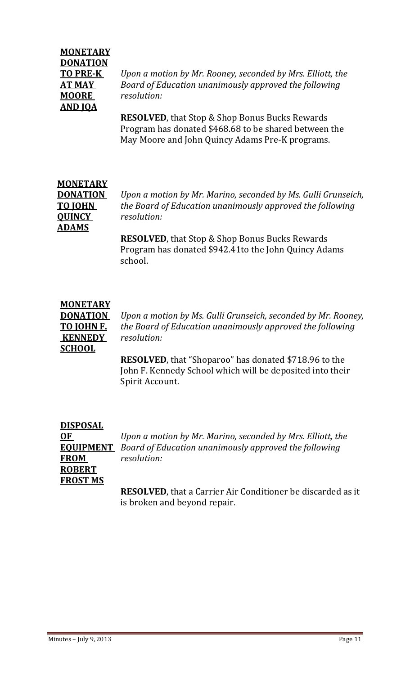# **MONETARY DONATION MOORE**  *resolution:* **AND JOA**

**TO PRE‐K** *Upon a motion by Mr. Rooney, seconded by Mrs. Elliott, the* **AT MAY**  *Board of Education unanimously approved the following* 

> **RESOLVED**, that Stop & Shop Bonus Bucks Rewards Program has donated \$468.68 to be shared between the May Moore and John Quincy Adams Pre-K programs.

# **MONETARY QUINCY**  *resolution:* **ADAMS**

**DONATION** *Upon a motion by Mr. Marino, seconded by Ms. Gulli Grunseich,* **TO JOHN** *the Board of Education unanimously approved the following*

> **RESOLVED**, that Stop & Shop Bonus Bucks Rewards Program has donated \$942.41to the John Quincy Adams school.

# **MONETARY**

**KENNEDY** *resolution:* **SCHOOL**

**DONATION** *Upon a motion by Ms. Gulli Grunseich, seconded by Mr. Rooney,* **TO JOHN F.** *the Board of Education unanimously approved the following*

> **RESOLVED**, that "Shoparoo" has donated \$718.96 to the John F. Kennedy School which will be deposited into their Spirit Account.

| <b>DISPOSAL</b> |                                                                        |
|-----------------|------------------------------------------------------------------------|
| <b>OF</b>       | Upon a motion by Mr. Marino, seconded by Mrs. Elliott, the             |
|                 | <b>EQUIPMENT</b> Board of Education unanimously approved the following |
| <b>FROM</b>     | resolution:                                                            |
| <b>ROBERT</b>   |                                                                        |
| <b>FROST MS</b> |                                                                        |
|                 | <b>RESOLVED</b> that a Carrier Air Conditioner be discarded as         |

**JLVED, that a Carrier Air Conditioner be discarded as it** is broken and beyond repair.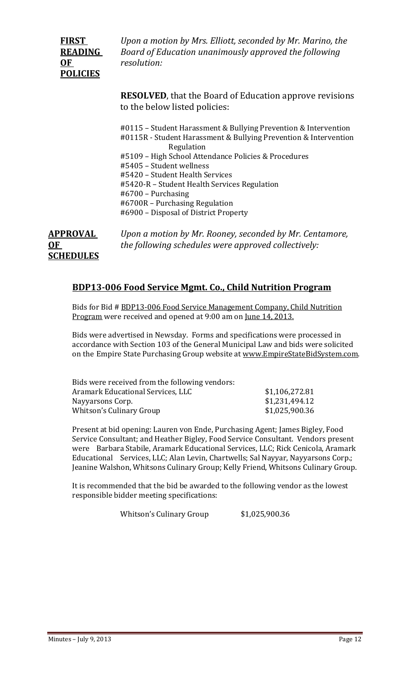# **OF**  *resolution:* **POLICIES**

**FIRST**  *Upon a motion by Mrs. Elliott, seconded by Mr. Marino, the*  **READING** *Board of Education unanimously approved the following* 

> **RESOLVED**, that the Board of Education approve revisions to the below listed policies:

#0115 - Student Harassment & Bullying Prevention & Intervention #0115R - Student Harassment & Bullying Prevention & Intervention Regulation #5109 - High School Attendance Policies & Procedures #5405 - Student wellness #5420 - Student Health Services #5420-R – Student Health Services Regulation #6700 - Purchasing #6700R - Purchasing Regulation #6900 - Disposal of District Property

**APPROVAL** *Upon a motion by Mr. Rooney, seconded by Mr. Centamore,*  **OF**  *the following schedules were approved collectively:* **SCHEDULES**

# **BDP13‐006 Food Service Mgmt. Co., Child Nutrition Program**

Bids for Bid # BDP13-006 Food Service Management Company, Child Nutrition Program were received and opened at 9:00 am on <u>June 14, 2013.</u>

Bids were advertised in Newsday. Forms and specifications were processed in accordance with Section 103 of the General Municipal Law and bids were solicited on the Empire State Purchasing Group website at www.EmpireStateBidSystem.com.

| Bids were received from the following vendors: |                |
|------------------------------------------------|----------------|
| Aramark Educational Services, LLC              | \$1,106,272.81 |
| Nayyarsons Corp.                               | \$1,231,494.12 |
| Whitson's Culinary Group                       | \$1,025,900.36 |
|                                                |                |

Present at bid opening: Lauren von Ende, Purchasing Agent; James Bigley, Food Service Consultant; and Heather Bigley, Food Service Consultant. Vendors present were Barbara Stabile, Aramark Educational Services, LLC; Rick Cenicola, Aramark Educational Services, LLC; Alan Levin, Chartwells; Sal Nayyar, Nayyarsons Corp.; Jeanine Walshon, Whitsons Culinary Group; Kelly Friend, Whitsons Culinary Group.

It is recommended that the bid be awarded to the following vendor as the lowest responsible bidder meeting specifications:

Whitson's Culinary Group \$1,025,900.36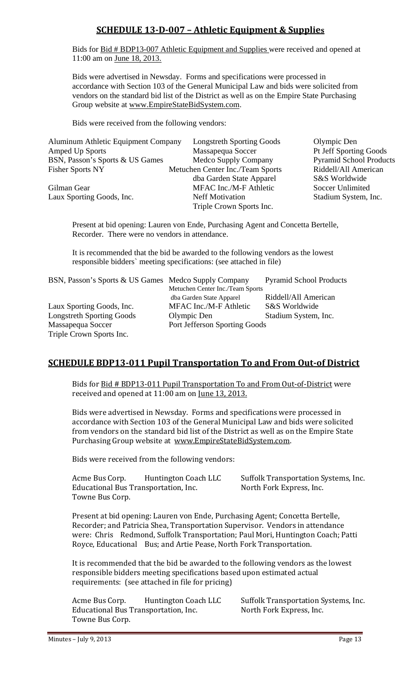# **SCHEDULE 13‐D‐007 – Athletic Equipment & Supplies**

 Bids for Bid # BDP13-007 Athletic Equipment and Supplies were received and opened at 11:00 am on June 18, 2013.

 Bids were advertised in Newsday. Forms and specifications were processed in accordance with Section 103 of the General Municipal Law and bids were solicited from vendors on the standard bid list of the District as well as on the Empire State Purchasing Group website at www.EmpireStateBidSystem.com.

Bids were received from the following vendors:

| <b>Aluminum Athletic Equipment Company</b> | <b>Longstreth Sporting Goods</b> | Olympic Den                    |
|--------------------------------------------|----------------------------------|--------------------------------|
| <b>Amped Up Sports</b>                     | Massapequa Soccer                | Pt Jeff Sporting Goods         |
| BSN, Passon's Sports & US Games            | Medco Supply Company             | <b>Pyramid School Products</b> |
| <b>Fisher Sports NY</b>                    | Metuchen Center Inc./Team Sports | Riddell/All American           |
|                                            | dba Garden State Apparel         | S&S Worldwide                  |
| Gilman Gear                                | MFAC Inc./M-F Athletic           | Soccer Unlimited               |
| Laux Sporting Goods, Inc.                  | <b>Neff Motivation</b>           | Stadium System, Inc.           |
|                                            | Triple Crown Sports Inc.         |                                |

 Present at bid opening: Lauren von Ende, Purchasing Agent and Concetta Bertelle, Recorder. There were no vendors in attendance.

 It is recommended that the bid be awarded to the following vendors as the lowest responsible bidders` meeting specifications: (see attached in file)

| BSN, Passon's Sports & US Games Medco Supply Company |                                  | <b>Pyramid School Products</b> |
|------------------------------------------------------|----------------------------------|--------------------------------|
|                                                      | Metuchen Center Inc./Team Sports |                                |
|                                                      | dba Garden State Apparel         | Riddell/All American           |
| Laux Sporting Goods, Inc.                            | MFAC Inc./M-F Athletic           | S&S Worldwide                  |
| <b>Longstreth Sporting Goods</b>                     | Olympic Den                      | Stadium System, Inc.           |
| Massapequa Soccer                                    | Port Jefferson Sporting Goods    |                                |
| Triple Crown Sports Inc.                             |                                  |                                |

# **SCHEDULE BDP13‐011 Pupil Transportation To and From Out‐of District**

Bids for **Bid # BDP13-011 Pupil Transportation To and From Out-of-District** were received and opened at  $11:00$  am on  $\mu$ ne  $13, 2013$ .

Bids were advertised in Newsday. Forms and specifications were processed in accordance with Section 103 of the General Municipal Law and bids were solicited from vendors on the standard bid list of the District as well as on the Empire State Purchasing Group website at www.EmpireStateBidSystem.com.

Bids were received from the following vendors:

Acme Bus Corp. Huntington Coach LLC Suffolk Transportation Systems, Inc. Educational Bus Transportation, Inc. North Fork Express, Inc. Towne Bus Corp.

Present at bid opening: Lauren von Ende, Purchasing Agent; Concetta Bertelle, Recorder; and Patricia Shea, Transportation Supervisor. Vendors in attendance were: Chris Redmond, Suffolk Transportation; Paul Mori, Huntington Coach; Patti Royce, Educational Bus; and Artie Pease, North Fork Transportation.

It is recommended that the bid be awarded to the following vendors as the lowest responsible bidders meeting specifications based upon estimated actual requirements: (see attached in file for pricing)

Acme Bus Corp. Huntington Coach LLC Suffolk Transportation Systems, Inc. Educational Bus Transportation, Inc. North Fork Express, Inc. Towne Bus Corp.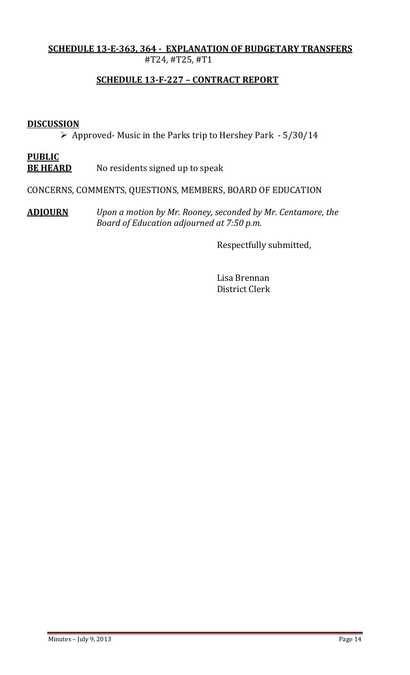## **SCHEDULE 13‐E‐363, 364 ‐ EXPLANATION OF BUDGETARY TRANSFERS** #T24, #T25, #T1

# **SCHEDULE 13‐F‐227 – CONTRACT REPORT**

## **DISCUSSION**

 $\triangleright$  Approved- Music in the Parks trip to Hershey Park  $-5/30/14$ 

# **PUBLIC**

**BE** HEARD No residents signed up to speak

CONCERNS, COMMENTS, QUESTIONS, MEMBERS, BOARD OF EDUCATION

**ADJOURN** *Upon a motion by Mr. Rooney, seconded by Mr. Centamore, the*   *Board of Education adjourned at 7:50 p.m.* 

**Respectfully** submitted,

 Lisa Brennan District Clerk